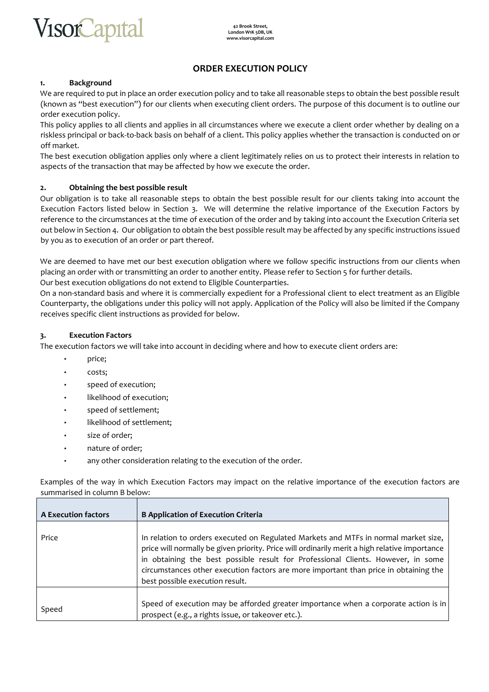

## **ORDER EXECUTION POLICY**

#### **1. Background**

We are required to put in place an order execution policy and to take all reasonable steps to obtain the best possible result (known as "best execution") for our clients when executing client orders. The purpose of this document is to outline our order execution policy.

This policy applies to all clients and applies in all circumstances where we execute a client order whether by dealing on a riskless principal or back-to-back basis on behalf of a client. This policy applies whether the transaction is conducted on or off market.

The best execution obligation applies only where a client legitimately relies on us to protect their interests in relation to aspects of the transaction that may be affected by how we execute the order.

#### **2. Obtaining the best possible result**

Our obligation is to take all reasonable steps to obtain the best possible result for our clients taking into account the Execution Factors listed below in Section 3. We will determine the relative importance of the Execution Factors by reference to the circumstances at the time of execution of the order and by taking into account the Execution Criteria set out below in Section 4. Our obligation to obtain the best possible result may be affected by any specific instructions issued by you as to execution of an order or part thereof.

We are deemed to have met our best execution obligation where we follow specific instructions from our clients when placing an order with or transmitting an order to another entity. Please refer to Section 5 for further details. Our best execution obligations do not extend to Eligible Counterparties.

On a non-standard basis and where it is commercially expedient for a Professional client to elect treatment as an Eligible Counterparty, the obligations under this policy will not apply. Application of the Policy will also be limited if the Company receives specific client instructions as provided for below.

#### **3. Execution Factors**

The execution factors we will take into account in deciding where and how to execute client orders are:

- price;
- costs;
- speed of execution;
- likelihood of execution;
- speed of settlement;
- likelihood of settlement;
- size of order;
- nature of order;
- any other consideration relating to the execution of the order.

Examples of the way in which Execution Factors may impact on the relative importance of the execution factors are summarised in column B below:

| <b>A Execution factors</b> | <b>B Application of Execution Criteria</b>                                                                                                                                                                                                                                                                                                                                                          |
|----------------------------|-----------------------------------------------------------------------------------------------------------------------------------------------------------------------------------------------------------------------------------------------------------------------------------------------------------------------------------------------------------------------------------------------------|
| Price                      | In relation to orders executed on Regulated Markets and MTFs in normal market size,<br>price will normally be given priority. Price will ordinarily merit a high relative importance<br>in obtaining the best possible result for Professional Clients. However, in some<br>circumstances other execution factors are more important than price in obtaining the<br>best possible execution result. |
| Speed                      | Speed of execution may be afforded greater importance when a corporate action is in<br>prospect (e.g., a rights issue, or takeover etc.).                                                                                                                                                                                                                                                           |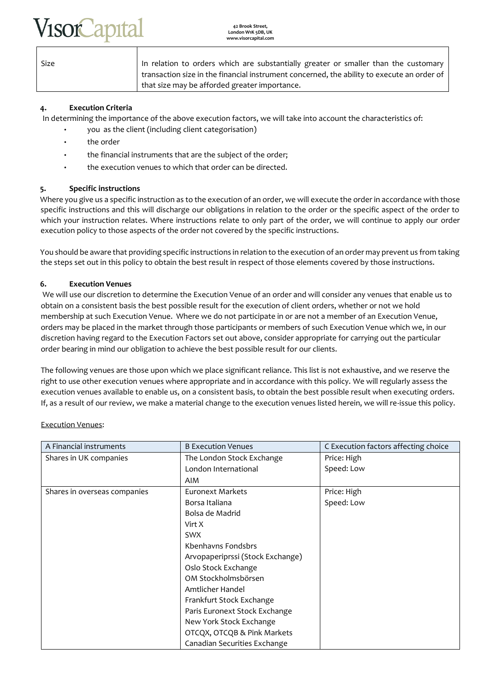# **SOR apt**

**42 Brook Street, London W1K 5DB, UK www.visorcapital.com**

| Size | In relation to orders which are substantially greater or smaller than the customary        |
|------|--------------------------------------------------------------------------------------------|
|      | transaction size in the financial instrument concerned, the ability to execute an order of |
|      | that size may be afforded greater importance.                                              |

## **4. Execution Criteria**

In determining the importance of the above execution factors, we will take into account the characteristics of:

- you as the client (including client categorisation)
- the order
- the financial instruments that are the subject of the order;
- the execution venues to which that order can be directed.

## **5. Specific instructions**

Where you give us a specific instruction as to the execution of an order, we will execute the order in accordance with those specific instructions and this will discharge our obligations in relation to the order or the specific aspect of the order to which your instruction relates. Where instructions relate to only part of the order, we will continue to apply our order execution policy to those aspects of the order not covered by the specific instructions.

You should be aware that providing specific instructions in relation to the execution of an order may prevent us from taking the steps set out in this policy to obtain the best result in respect of those elements covered by those instructions.

## **6. Execution Venues**

We will use our discretion to determine the Execution Venue of an order and will consider any venues that enable us to obtain on a consistent basis the best possible result for the execution of client orders, whether or not we hold membership at such Execution Venue. Where we do not participate in or are not a member of an Execution Venue, orders may be placed in the market through those participants or members of such Execution Venue which we, in our discretion having regard to the Execution Factors set out above, consider appropriate for carrying out the particular order bearing in mind our obligation to achieve the best possible result for our clients.

The following venues are those upon which we place significant reliance. This list is not exhaustive, and we reserve the right to use other execution venues where appropriate and in accordance with this policy. We will regularly assess the execution venues available to enable us, on a consistent basis, to obtain the best possible result when executing orders. If, as a result of our review, we make a material change to the execution venues listed herein, we will re-issue this policy.

| A Financial instruments      | <b>B Execution Venues</b>        | C Execution factors affecting choice |
|------------------------------|----------------------------------|--------------------------------------|
| Shares in UK companies       | The London Stock Exchange        | Price: High                          |
|                              | London International             | Speed: Low                           |
|                              | AIM                              |                                      |
| Shares in overseas companies | <b>Euronext Markets</b>          | Price: High                          |
|                              | Borsa Italiana                   | Speed: Low                           |
|                              | Bolsa de Madrid                  |                                      |
|                              | Virt X                           |                                      |
|                              | <b>SWX</b>                       |                                      |
|                              | Kbenhavns Fondsbrs               |                                      |
|                              | Arvopaperiprssi (Stock Exchange) |                                      |
|                              | Oslo Stock Exchange              |                                      |
|                              | OM Stockholmsbörsen              |                                      |
|                              | Amtlicher Handel                 |                                      |
|                              | Frankfurt Stock Exchange         |                                      |
|                              | Paris Euronext Stock Exchange    |                                      |
|                              | New York Stock Exchange          |                                      |
|                              | OTCQX, OTCQB & Pink Markets      |                                      |
|                              | Canadian Securities Exchange     |                                      |

Execution Venues: